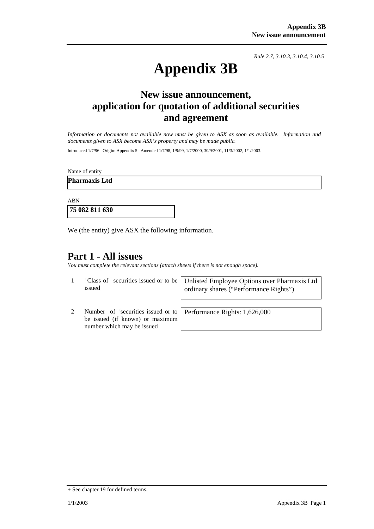*Rule 2.7, 3.10.3, 3.10.4, 3.10.5*

# **Appendix 3B**

## **New issue announcement, application for quotation of additional securities and agreement**

*Information or documents not available now must be given to ASX as soon as available. Information and documents given to ASX become ASX's property and may be made public.* 

Introduced 1/7/96. Origin: Appendix 5. Amended 1/7/98, 1/9/99, 1/7/2000, 30/9/2001, 11/3/2002, 1/1/2003.

Name of entity

**Pharmaxis Ltd** 

ABN

 **75 082 811 630** 

We (the entity) give ASX the following information.

## **Part 1 - All issues**

*You must complete the relevant sections (attach sheets if there is not enough space).*

| issued                                                                  | <sup>+</sup> Class of <sup>+</sup> securities issued or to be   Unlisted Employee Options over Pharmaxis Ltd<br>ordinary shares ("Performance Rights") |  |
|-------------------------------------------------------------------------|--------------------------------------------------------------------------------------------------------------------------------------------------------|--|
|                                                                         |                                                                                                                                                        |  |
| Number of $\pm$ securities issued or to   Performance Rights: 1,626,000 |                                                                                                                                                        |  |

be issued (if known) or maximum number which may be issued

Performance Rights: 1,626,000

<sup>+</sup> See chapter 19 for defined terms.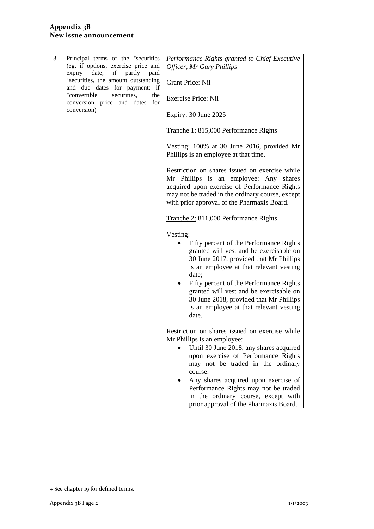| 3 | Principal terms of the <sup>+</sup> securities<br>(eg, if options, exercise price and<br>expiry date; if<br>partly<br>paid<br>*securities, the amount outstanding<br>and due dates for payment; if<br>+convertible<br>securities,<br>the<br>conversion price and dates<br>for<br>conversion) | Performance Rights granted to Chief Executive<br>Officer, Mr Gary Phillips<br><b>Grant Price: Nil</b><br><b>Exercise Price: Nil</b><br>Expiry: 30 June 2025<br>Tranche 1: 815,000 Performance Rights<br>Vesting: 100% at 30 June 2016, provided Mr<br>Phillips is an employee at that time.<br>Restriction on shares issued on exercise while<br>Mr Phillips is an employee: Any shares<br>acquired upon exercise of Performance Rights<br>may not be traded in the ordinary course, except<br>with prior approval of the Pharmaxis Board.<br>Tranche 2: 811,000 Performance Rights<br>Vesting:<br>Fifty percent of the Performance Rights<br>granted will vest and be exercisable on<br>30 June 2017, provided that Mr Phillips<br>is an employee at that relevant vesting<br>date;<br>Fifty percent of the Performance Rights<br>granted will vest and be exercisable on<br>30 June 2018, provided that Mr Phillips |
|---|----------------------------------------------------------------------------------------------------------------------------------------------------------------------------------------------------------------------------------------------------------------------------------------------|-----------------------------------------------------------------------------------------------------------------------------------------------------------------------------------------------------------------------------------------------------------------------------------------------------------------------------------------------------------------------------------------------------------------------------------------------------------------------------------------------------------------------------------------------------------------------------------------------------------------------------------------------------------------------------------------------------------------------------------------------------------------------------------------------------------------------------------------------------------------------------------------------------------------------|
|   |                                                                                                                                                                                                                                                                                              | is an employee at that relevant vesting<br>date.                                                                                                                                                                                                                                                                                                                                                                                                                                                                                                                                                                                                                                                                                                                                                                                                                                                                      |
|   |                                                                                                                                                                                                                                                                                              | Restriction on shares issued on exercise while<br>Mr Phillips is an employee:<br>Until 30 June 2018, any shares acquired<br>upon exercise of Performance Rights<br>may not be traded in the ordinary<br>course.<br>Any shares acquired upon exercise of<br>Performance Rights may not be traded<br>in the ordinary course, except with<br>prior approval of the Pharmaxis Board.                                                                                                                                                                                                                                                                                                                                                                                                                                                                                                                                      |

<sup>+</sup> See chapter 19 for defined terms.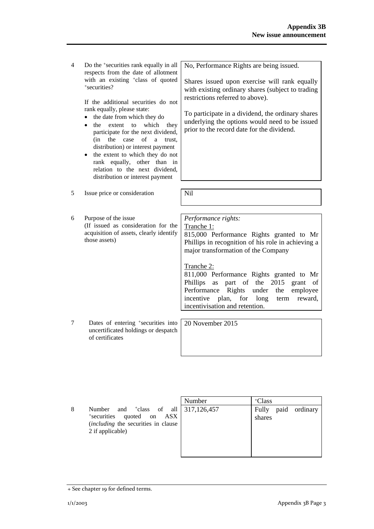4 Do the +securities rank equally in all respects from the date of allotment with an existing <sup>+</sup>class of quoted +securities?

> If the additional securities do not rank equally, please state:

- the date from which they do
- the extent to which they participate for the next dividend, (in the case of a trust, distribution) or interest payment
- the extent to which they do not rank equally, other than in relation to the next dividend, distribution or interest payment

5 Issue price or consideration | Nil

6 Purpose of the issue (If issued as consideration for the acquisition of assets, clearly identify those assets)

No, Performance Rights are being issued.

Shares issued upon exercise will rank equally with existing ordinary shares (subject to trading restrictions referred to above).

To participate in a dividend, the ordinary shares underlying the options would need to be issued prior to the record date for the dividend.

*Performance rights:* 

Tranche 1: 815,000 Performance Rights granted to Mr Phillips in recognition of his role in achieving a major transformation of the Company

Tranche 2:

811,000 Performance Rights granted to Mr Phillips as part of the 2015 grant of Performance Rights under the employee incentive plan, for long term reward, incentivisation and retention.

7 Dates of entering +securities into uncertificated holdings or despatch of certificates

20 November 2015

|   |                                                                                                                                          | Number | <sup>+</sup> Class               |
|---|------------------------------------------------------------------------------------------------------------------------------------------|--------|----------------------------------|
| 8 | Number and $\text{tclass}$ of all 317,126,457<br>*securities<br>quoted on ASX<br>(including the securities in clause<br>2 if applicable) |        | paid ordinary<br>Fully<br>shares |

<sup>+</sup> See chapter 19 for defined terms.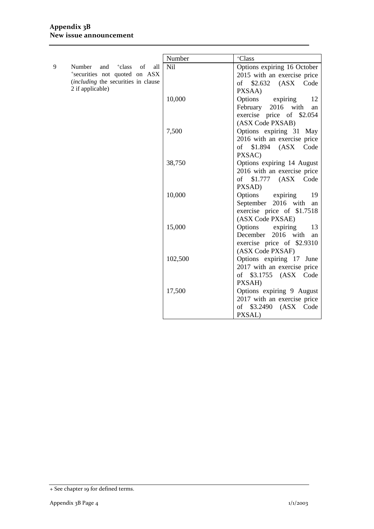## **Appendix 3B New issue announcement**

|   |                                                                                          | Number          | +Class                               |
|---|------------------------------------------------------------------------------------------|-----------------|--------------------------------------|
| 9 | Number<br><sup>+</sup> class<br>of<br>and<br>all                                         | N <sub>il</sub> | Options expiring 16 October          |
|   | *securities not quoted on ASX<br>(including the securities in clause<br>2 if applicable) |                 | 2015 with an exercise price          |
|   |                                                                                          |                 | of \$2.632 (ASX Code                 |
|   |                                                                                          |                 | PXSAA)                               |
|   |                                                                                          | 10,000          | Options<br>expiring<br>12            |
|   |                                                                                          |                 | February<br>2016 with<br>an          |
|   |                                                                                          |                 | exercise price of \$2.054            |
|   |                                                                                          |                 | (ASX Code PXSAB)                     |
|   |                                                                                          | 7,500           | Options expiring 31 May              |
|   |                                                                                          |                 | 2016 with an exercise price          |
|   |                                                                                          |                 | $$1.894$ $(ASX)$<br>Code<br>of       |
|   |                                                                                          |                 | PXSAC)                               |
|   |                                                                                          | 38,750          | Options expiring 14 August           |
|   |                                                                                          |                 | 2016 with an exercise price          |
|   |                                                                                          |                 | of \$1.777 (ASX Code                 |
|   |                                                                                          |                 | PXSAD)                               |
|   |                                                                                          | 10,000          | Options<br>expiring<br>19            |
|   |                                                                                          |                 | September 2016 with<br>an            |
|   |                                                                                          |                 | exercise price of \$1.7518           |
|   |                                                                                          | 15,000          | (ASX Code PXSAE)<br>Options<br>13    |
|   |                                                                                          |                 | expiring<br>December 2016 with<br>an |
|   |                                                                                          |                 | exercise price of \$2.9310           |
|   |                                                                                          |                 | (ASX Code PXSAF)                     |
|   |                                                                                          | 102,500         | Options expiring 17 June             |
|   |                                                                                          |                 | 2017 with an exercise price          |
|   |                                                                                          |                 | of \$3.1755 (ASX Code                |
|   |                                                                                          |                 | PXSAH)                               |
|   |                                                                                          | 17,500          | Options expiring 9 August            |
|   |                                                                                          |                 | 2017 with an exercise price          |
|   |                                                                                          |                 | of \$3.2490 (ASX Code                |
|   |                                                                                          |                 | PXSAL)                               |

<sup>+</sup> See chapter 19 for defined terms.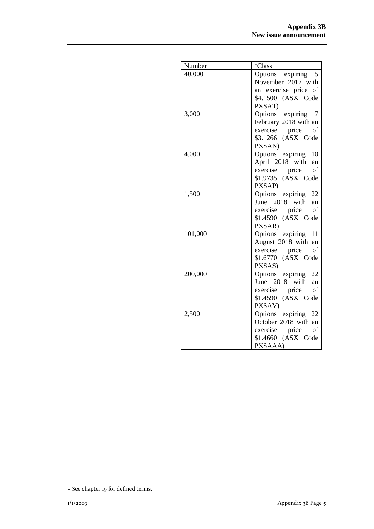| Number  | <sup>+</sup> Class                   |
|---------|--------------------------------------|
| 40,000  | Options expiring 5                   |
|         | November 2017 with                   |
|         | an exercise price of                 |
|         | \$4.1500 (ASX Code                   |
|         | PXSAT)                               |
| 3,000   | Options<br>expiring 7                |
|         | February 2018 with an                |
|         | exercise price<br>of                 |
|         | \$3.1266 (ASX Code                   |
|         | PXSAN)                               |
| 4,000   | Options expiring 10                  |
|         | April 2018 with an                   |
|         | exercise price<br>of                 |
|         | \$1.9735 (ASX Code                   |
|         | PXSAP)                               |
| 1,500   | Options expiring 22                  |
|         | June 2018 with<br>an<br>of           |
|         | exercise price<br>\$1.4590 (ASX Code |
|         | PXSAR)                               |
| 101,000 | Options expiring 11                  |
|         | August 2018 with an                  |
|         | exercise price<br>of                 |
|         | \$1.6770 (ASX Code                   |
|         | PXSAS)                               |
| 200,000 | Options expiring 22                  |
|         | June 2018 with<br>an                 |
|         | of<br>exercise price                 |
|         | \$1.4590 (ASX Code                   |
|         | PXSAV)                               |
| 2,500   | Options expiring 22                  |
|         | October 2018 with an                 |
|         | exercise price<br>of                 |
|         | \$1.4660 (ASX Code                   |
|         | PXSAAA)                              |

<sup>+</sup> See chapter 19 for defined terms.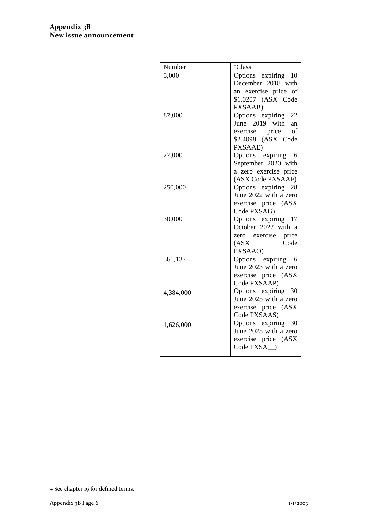| Number    | +Class                                       |
|-----------|----------------------------------------------|
| 5,000     | Options expiring 10                          |
|           | December 2018 with                           |
|           | an exercise price of                         |
|           | \$1.0207 (ASX Code                           |
|           | PXSAAB)                                      |
| 87,000    | Options expiring 22                          |
|           | June 2019 with an                            |
|           | exercise price of                            |
|           | \$2.4098 (ASX Code                           |
|           | PXSAAE)                                      |
| 27,000    | Options expiring<br>6                        |
|           | September 2020 with                          |
|           | a zero exercise price                        |
|           | (ASX Code PXSAAF)                            |
| 250,000   | Options expiring 28                          |
|           | June 2022 with a zero                        |
|           | exercise price (ASX                          |
|           | Code PXSAG)                                  |
| 30,000    | Options expiring 17                          |
|           | October 2022 with a                          |
|           | zero exercise price                          |
|           | Code<br>(ASX)                                |
|           | PXSAAO)                                      |
| 561,137   | Options expiring 6                           |
|           | June 2023 with a zero                        |
|           | exercise price (ASX                          |
|           | Code PXSAAP)                                 |
| 4,384,000 | Options expiring 30<br>June 2025 with a zero |
|           |                                              |
|           | exercise price (ASX<br>Code PXSAAS)          |
|           | Options expiring 30                          |
| 1,626,000 | June 2025 with a zero                        |
|           | exercise price (ASX                          |
|           | Code PXSA )                                  |
|           |                                              |

<sup>+</sup> See chapter 19 for defined terms.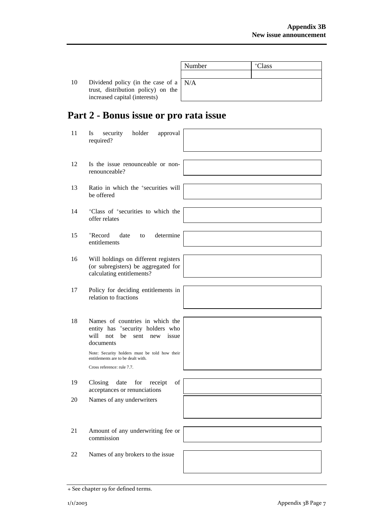|    |                                               | Number | <sup>+</sup> Class |
|----|-----------------------------------------------|--------|--------------------|
|    |                                               |        |                    |
| 10 | Dividend policy (in the case of a $\vert$ N/A |        |                    |
|    | trust, distribution policy) on the            |        |                    |
|    | increased capital (interests)                 |        |                    |

# **Part 2 - Bonus issue or pro rata issue**

| 11 | security<br>holder<br><b>Is</b><br>approval<br>required?                                                                                                                          |  |
|----|-----------------------------------------------------------------------------------------------------------------------------------------------------------------------------------|--|
| 12 | Is the issue renounceable or non-<br>renounceable?                                                                                                                                |  |
| 13 | Ratio in which the <sup>+</sup> securities will<br>be offered                                                                                                                     |  |
| 14 | <sup>+</sup> Class of <sup>+</sup> securities to which the<br>offer relates                                                                                                       |  |
| 15 | +Record<br>determine<br>date<br>to<br>entitlements                                                                                                                                |  |
| 16 | Will holdings on different registers<br>(or subregisters) be aggregated for<br>calculating entitlements?                                                                          |  |
| 17 | Policy for deciding entitlements in<br>relation to fractions                                                                                                                      |  |
| 18 | Names of countries in which the<br>entity has <sup>+</sup> security holders who<br>will not<br>be<br>sent new issue<br>documents<br>Note: Security holders must be told how their |  |
|    | entitlements are to be dealt with.<br>Cross reference: rule 7.7.                                                                                                                  |  |
| 19 | Closing<br>date<br>for<br>of<br>receipt<br>acceptances or renunciations                                                                                                           |  |
| 20 | Names of any underwriters                                                                                                                                                         |  |
| 21 | Amount of any underwriting fee or<br>commission                                                                                                                                   |  |
| 22 | Names of any brokers to the issue                                                                                                                                                 |  |

<sup>+</sup> See chapter 19 for defined terms.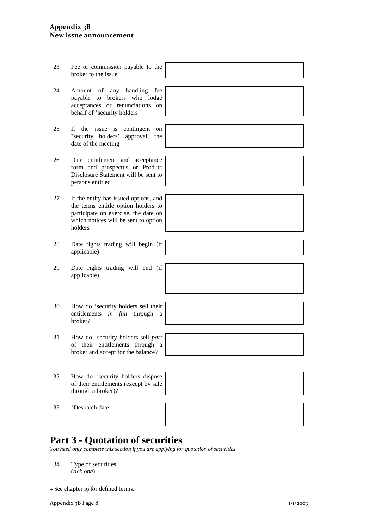#### **Appendix 3B New issue announcement**

- 23 Fee or commission payable to the broker to the issue
- 24 Amount of any handling fee payable to brokers who lodge acceptances or renunciations on behalf of <sup>+</sup>security holders
- 25 If the issue is contingent on  $+$ security holders' approval, the date of the meeting
- 26 Date entitlement and acceptance form and prospectus or Product Disclosure Statement will be sent to persons entitled
- 27 If the entity has issued options, and the terms entitle option holders to participate on exercise, the date on which notices will be sent to option holders
- 28 Date rights trading will begin (if applicable)
- 29 Date rights trading will end (if applicable)
- 30 How do +security holders sell their entitlements *in full* through a broker?
- 31 How do +security holders sell *part* of their entitlements through a broker and accept for the balance?
- 32 How do +security holders dispose of their entitlements (except by sale through a broker)?
- 33 +Despatch date



## **Part 3 - Quotation of securities**

*You need only complete this section if you are applying for quotation of securities* 

34 Type of securities (*tick one*)

<sup>+</sup> See chapter 19 for defined terms.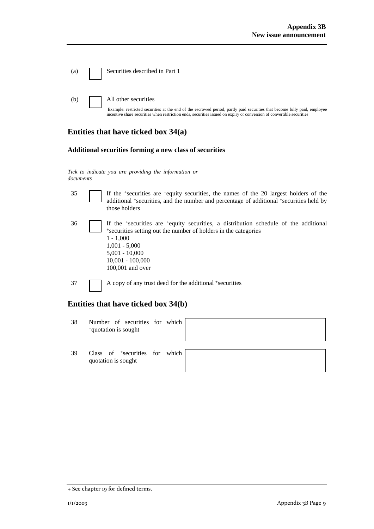| (a) | Securities described in Part 1                                       |
|-----|----------------------------------------------------------------------|
| (b) | All other securities<br>Example: restricted securities at the end of |

the escrowed period, partly paid securities that become fully paid, employee incentive share securities when restriction ends, securities issued on expiry or conversion of convertible securities

## **Entities that have ticked box 34(a)**

#### **Additional securities forming a new class of securities**

*Tick to indicate you are providing the information or documents*

- 35 If the +securities are +equity securities, the names of the 20 largest holders of the additional +securities, and the number and percentage of additional +securities held by those holders
- $36$  If the +securities are +equity securities, a distribution schedule of the additional +securities setting out the number of holders in the categories 1 - 1,000 1,001 - 5,000 5,001 - 10,000 10,001 - 100,000 100,001 and over
- 37 A copy of any trust deed for the additional +securities

## **Entities that have ticked box 34(b)**

| 38 | Number of securities for which<br><sup>+</sup> quotation is sought |  |  |
|----|--------------------------------------------------------------------|--|--|
| 39 | Class of <sup>+</sup> securities for which<br>quotation is sought  |  |  |

<sup>+</sup> See chapter 19 for defined terms.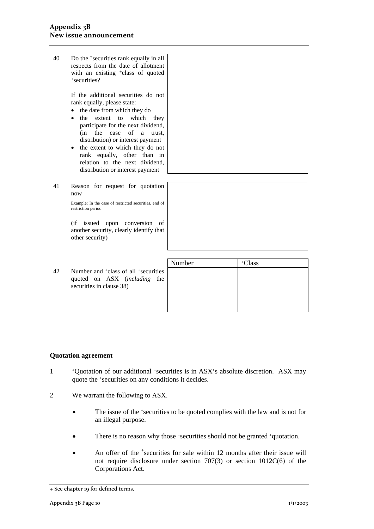40 Do the +securities rank equally in all respects from the date of allotment with an existing <sup>+</sup>class of quoted +securities?

> If the additional securities do not rank equally, please state:

- the date from which they do
- the extent to which they participate for the next dividend, (in the case of a trust, distribution) or interest payment
- the extent to which they do not rank equally, other than in relation to the next dividend, distribution or interest payment
- 41 Reason for request for quotation now

Example: In the case of restricted securities, end of restriction period

(if issued upon conversion of another security, clearly identify that other security)

|    |                                                                                                                             | Number | Class |
|----|-----------------------------------------------------------------------------------------------------------------------------|--------|-------|
| 42 | Number and <sup>+</sup> class of all <sup>+</sup> securities<br>quoted on ASX (including<br>the<br>securities in clause 38) |        |       |
|    |                                                                                                                             |        |       |

### **Quotation agreement**

- 1 +Quotation of our additional +securities is in ASX's absolute discretion. ASX may quote the +securities on any conditions it decides.
- 2 We warrant the following to ASX.
	- The issue of the +securities to be quoted complies with the law and is not for an illegal purpose.
	- There is no reason why those +securities should not be granted +quotation.
	- An offer of the <sup>+</sup>securities for sale within 12 months after their issue will not require disclosure under section 707(3) or section 1012C(6) of the Corporations Act.

<sup>+</sup> See chapter 19 for defined terms.